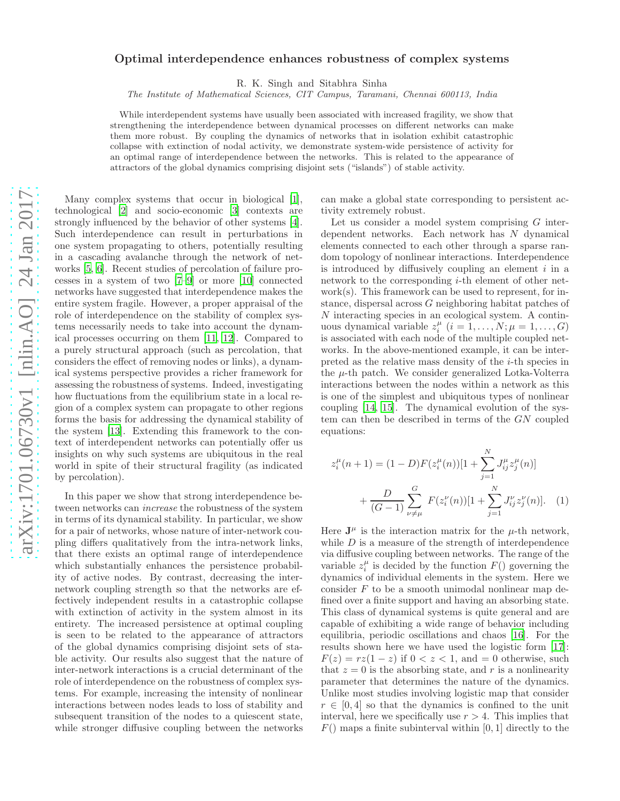## arXiv:1701.06730v1 [nlin.AO] 24 Jan 2017 [arXiv:1701.06730v1 \[nlin.AO\] 24 Jan 2017](http://arxiv.org/abs/1701.06730v1)

## Optimal interdependence enhances robustness of complex systems

R. K. Singh and Sitabhra Sinha

The Institute of Mathematical Sciences, CIT Campus, Taramani, Chennai 600113, India

While interdependent systems have usually been associated with increased fragility, we show that strengthening the interdependence between dynamical processes on different networks can make them more robust. By coupling the dynamics of networks that in isolation exhibit catastrophic collapse with extinction of nodal activity, we demonstrate system-wide persistence of activity for an optimal range of interdependence between the networks. This is related to the appearance of attractors of the global dynamics comprising disjoint sets ("islands") of stable activity.

Many complex systems that occur in biological [\[1\]](#page-4-0), technological [\[2](#page-4-1)] and socio-economic [\[3](#page-4-2)] contexts are strongly influenced by the behavior of other systems [\[4\]](#page-4-3). Such interdependence can result in perturbations in one system propagating to others, potentially resulting in a cascading avalanche through the network of networks [\[5,](#page-4-4) [6\]](#page-4-5). Recent studies of percolation of failure processes in a system of two [\[7](#page-4-6)[–9\]](#page-5-0) or more [\[10\]](#page-5-1) connected networks have suggested that interdependence makes the entire system fragile. However, a proper appraisal of the role of interdependence on the stability of complex systems necessarily needs to take into account the dynamical processes occurring on them [\[11,](#page-5-2) [12](#page-5-3)]. Compared to a purely structural approach (such as percolation, that considers the effect of removing nodes or links), a dynamical systems perspective provides a richer framework for assessing the robustness of systems. Indeed, investigating how fluctuations from the equilibrium state in a local region of a complex system can propagate to other regions forms the basis for addressing the dynamical stability of the system [\[13\]](#page-5-4). Extending this framework to the context of interdependent networks can potentially offer us insights on why such systems are ubiquitous in the real world in spite of their structural fragility (as indicated by percolation).

In this paper we show that strong interdependence between networks can increase the robustness of the system in terms of its dynamical stability. In particular, we show for a pair of networks, whose nature of inter-network coupling differs qualitatively from the intra-network links, that there exists an optimal range of interdependence which substantially enhances the persistence probability of active nodes. By contrast, decreasing the internetwork coupling strength so that the networks are effectively independent results in a catastrophic collapse with extinction of activity in the system almost in its entirety. The increased persistence at optimal coupling is seen to be related to the appearance of attractors of the global dynamics comprising disjoint sets of stable activity. Our results also suggest that the nature of inter-network interactions is a crucial determinant of the role of interdependence on the robustness of complex systems. For example, increasing the intensity of nonlinear interactions between nodes leads to loss of stability and subsequent transition of the nodes to a quiescent state, while stronger diffusive coupling between the networks can make a global state corresponding to persistent activity extremely robust.

Let us consider a model system comprising  $G$  interdependent networks. Each network has N dynamical elements connected to each other through a sparse random topology of nonlinear interactions. Interdependence is introduced by diffusively coupling an element  $i$  in a network to the corresponding i-th element of other network(s). This framework can be used to represent, for instance, dispersal across G neighboring habitat patches of N interacting species in an ecological system. A continuous dynamical variable  $z_i^{\mu}$   $(i = 1, ..., N; \mu = 1, ..., G)$ is associated with each node of the multiple coupled networks. In the above-mentioned example, it can be interpreted as the relative mass density of the i-th species in the  $\mu$ -th patch. We consider generalized Lotka-Volterra interactions between the nodes within a network as this is one of the simplest and ubiquitous types of nonlinear coupling [\[14,](#page-5-5) [15\]](#page-5-6). The dynamical evolution of the system can then be described in terms of the GN coupled equations:

<span id="page-0-0"></span>
$$
z_i^{\mu}(n+1) = (1-D)F(z_i^{\mu}(n))[1 + \sum_{j=1}^{N} J_{ij}^{\mu} z_j^{\mu}(n)] + \frac{D}{(G-1)} \sum_{\nu \neq \mu}^{G} F(z_i^{\nu}(n))[1 + \sum_{j=1}^{N} J_{ij}^{\nu} z_j^{\nu}(n)].
$$
 (1)

Here  $J^{\mu}$  is the interaction matrix for the  $\mu$ -th network, while  $D$  is a measure of the strength of interdependence via diffusive coupling between networks. The range of the variable  $z_i^{\mu}$  is decided by the function  $F()$  governing the dynamics of individual elements in the system. Here we consider F to be a smooth unimodal nonlinear map defined over a finite support and having an absorbing state. This class of dynamical systems is quite general and are capable of exhibiting a wide range of behavior including equilibria, periodic oscillations and chaos [\[16\]](#page-5-7). For the results shown here we have used the logistic form [\[17\]](#page-5-8):  $F(z) = rz(1-z)$  if  $0 < z < 1$ , and  $= 0$  otherwise, such that  $z = 0$  is the absorbing state, and r is a nonlinearity parameter that determines the nature of the dynamics. Unlike most studies involving logistic map that consider  $r \in [0, 4]$  so that the dynamics is confined to the unit interval, here we specifically use  $r > 4$ . This implies that  $F()$  maps a finite subinterval within [0, 1] directly to the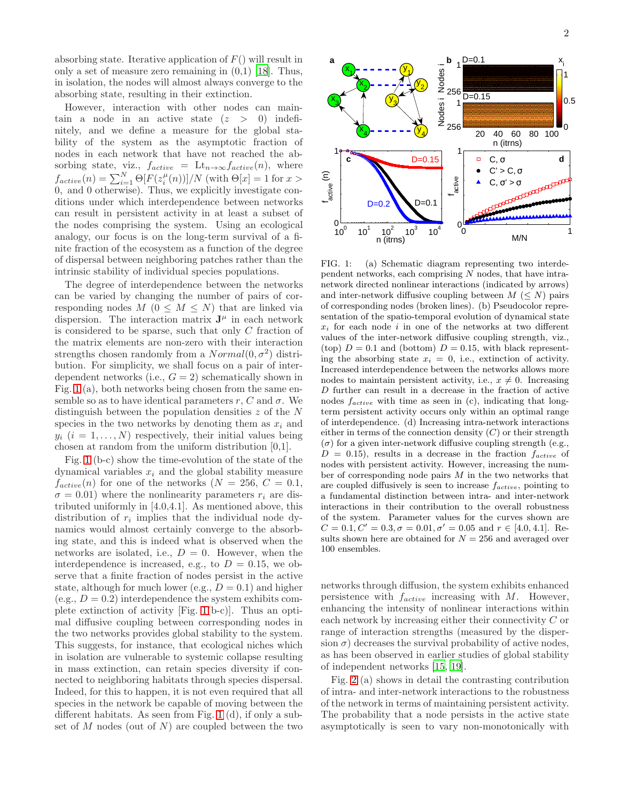absorbing state. Iterative application of  $F()$  will result in only a set of measure zero remaining in  $(0,1)$  [\[18\]](#page-5-9). Thus, in isolation, the nodes will almost always converge to the absorbing state, resulting in their extinction.

However, interaction with other nodes can maintain a node in an active state  $(z > 0)$  indefinitely, and we define a measure for the global stability of the system as the asymptotic fraction of nodes in each network that have not reached the absorbing state, viz.,  $f_{active} = \mathrm{Lt}_{n \to \infty} f_{active}(n)$ , where  $f_{active}(n) = \sum_{i=1}^{N} \Theta[F(z_i^{\mu}(n))]/N$  (with  $\Theta[x] = 1$  for  $x >$ 0, and 0 otherwise). Thus, we explicitly investigate conditions under which interdependence between networks can result in persistent activity in at least a subset of the nodes comprising the system. Using an ecological analogy, our focus is on the long-term survival of a finite fraction of the ecosystem as a function of the degree of dispersal between neighboring patches rather than the intrinsic stability of individual species populations.

The degree of interdependence between the networks can be varied by changing the number of pairs of corresponding nodes  $M$  ( $0 \leq M \leq N$ ) that are linked via dispersion. The interaction matrix  $J^{\mu}$  in each network is considered to be sparse, such that only C fraction of the matrix elements are non-zero with their interaction strengths chosen randomly from a  $Normal(0, \sigma^2)$  distribution. For simplicity, we shall focus on a pair of interdependent networks (i.e.,  $G = 2$ ) schematically shown in Fig. [1](#page-1-0) (a), both networks being chosen from the same ensemble so as to have identical parameters r, C and  $\sigma$ . We distinguish between the population densities  $z$  of the  $N$ species in the two networks by denoting them as  $x_i$  and  $y_i$   $(i = 1, \ldots, N)$  respectively, their initial values being chosen at random from the uniform distribution [0,1].

Fig. [1](#page-1-0) (b-c) show the time-evolution of the state of the dynamical variables  $x_i$  and the global stability measure  $f_{active}(n)$  for one of the networks  $(N = 256, C = 0.1,$  $\sigma = 0.01$ ) where the nonlinearity parameters  $r_i$  are distributed uniformly in [4.0,4.1]. As mentioned above, this distribution of  $r_i$  implies that the individual node dynamics would almost certainly converge to the absorbing state, and this is indeed what is observed when the networks are isolated, i.e.,  $D = 0$ . However, when the interdependence is increased, e.g., to  $D = 0.15$ , we observe that a finite fraction of nodes persist in the active state, although for much lower (e.g.,  $D = 0.1$ ) and higher  $(e.g., D = 0.2)$  interdependence the system exhibits complete extinction of activity [Fig. [1\(](#page-1-0)b-c)]. Thus an optimal diffusive coupling between corresponding nodes in the two networks provides global stability to the system. This suggests, for instance, that ecological niches which in isolation are vulnerable to systemic collapse resulting in mass extinction, can retain species diversity if connected to neighboring habitats through species dispersal. Indeed, for this to happen, it is not even required that all species in the network be capable of moving between the different habitats. As seen from Fig. [1](#page-1-0) (d), if only a subset of M nodes (out of N) are coupled between the two



<span id="page-1-0"></span>FIG. 1: (a) Schematic diagram representing two interdependent networks, each comprising  $N$  nodes, that have intranetwork directed nonlinear interactions (indicated by arrows) and inter-network diffusive coupling between  $M \leq N$  pairs of corresponding nodes (broken lines). (b) Pseudocolor representation of the spatio-temporal evolution of dynamical state  $x_i$  for each node i in one of the networks at two different values of the inter-network diffusive coupling strength, viz., (top)  $D = 0.1$  and (bottom)  $D = 0.15$ , with black representing the absorbing state  $x_i = 0$ , i.e., extinction of activity. Increased interdependence between the networks allows more nodes to maintain persistent activity, i.e.,  $x \neq 0$ . Increasing D further can result in a decrease in the fraction of active nodes  $f_{active}$  with time as seen in (c), indicating that longterm persistent activity occurs only within an optimal range of interdependence. (d) Increasing intra-network interactions either in terms of the connection density  $(C)$  or their strength  $(\sigma)$  for a given inter-network diffusive coupling strength (e.g.,  $D = 0.15$ , results in a decrease in the fraction  $f_{active}$  of nodes with persistent activity. However, increasing the number of corresponding node pairs  $M$  in the two networks that are coupled diffusively is seen to increase  $f_{active}$ , pointing to a fundamental distinction between intra- and inter-network interactions in their contribution to the overall robustness of the system. Parameter values for the curves shown are  $C = 0.1, C' = 0.3, \sigma = 0.01, \sigma' = 0.05$  and  $r \in [4.0, 4.1]$ . Results shown here are obtained for  $N = 256$  and averaged over 100 ensembles.

networks through diffusion, the system exhibits enhanced persistence with  $f_{active}$  increasing with  $M$ . However, enhancing the intensity of nonlinear interactions within each network by increasing either their connectivity C or range of interaction strengths (measured by the dispersion  $\sigma$ ) decreases the survival probability of active nodes, as has been observed in earlier studies of global stability of independent networks [\[15,](#page-5-6) [19\]](#page-5-10).

Fig. [2](#page-2-0) (a) shows in detail the contrasting contribution of intra- and inter-network interactions to the robustness of the network in terms of maintaining persistent activity. The probability that a node persists in the active state asymptotically is seen to vary non-monotonically with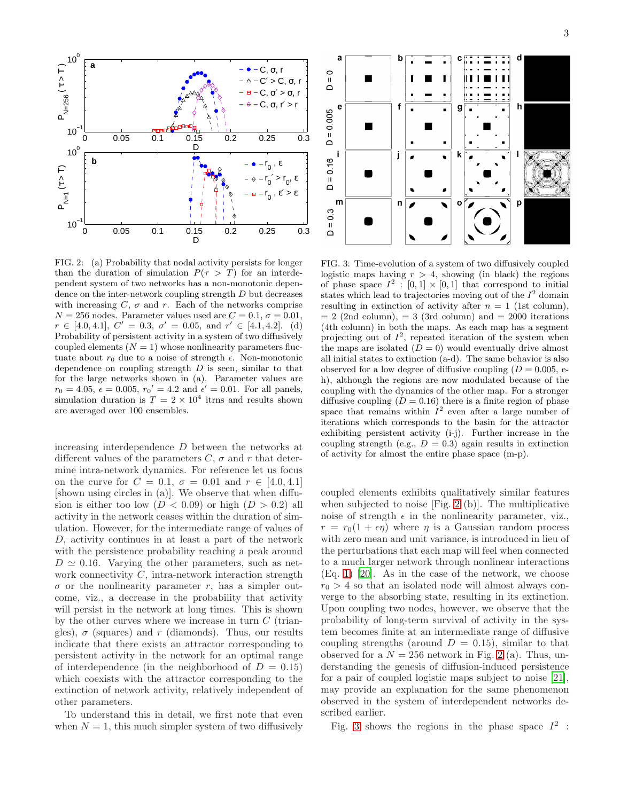

<span id="page-2-0"></span>FIG. 2: (a) Probability that nodal activity persists for longer than the duration of simulation  $P(\tau > T)$  for an interdependent system of two networks has a non-monotonic dependence on the inter-network coupling strength  $D$  but decreases with increasing  $C$ ,  $\sigma$  and  $r$ . Each of the networks comprise  $N = 256$  nodes. Parameter values used are  $C = 0.1$ ,  $\sigma = 0.01$ ,  $r \in [4.0, 4.1], C' = 0.3, \sigma' = 0.05, \text{ and } r' \in [4.1, 4.2].$  (d) Probability of persistent activity in a system of two diffusively coupled elements  $(N = 1)$  whose nonlinearity parameters fluctuate about  $r_0$  due to a noise of strength  $\epsilon$ . Non-monotonic dependence on coupling strength  $D$  is seen, similar to that for the large networks shown in (a). Parameter values are  $r_0 = 4.05, \ \epsilon = 0.005, \ r_0' = 4.2 \text{ and } \ \epsilon' = 0.01. \text{ For all panels,}$ simulation duration is  $T = 2 \times 10^4$  items and results shown are averaged over 100 ensembles.

increasing interdependence D between the networks at different values of the parameters  $C$ ,  $\sigma$  and r that determine intra-network dynamics. For reference let us focus on the curve for  $C = 0.1$ ,  $\sigma = 0.01$  and  $r \in [4.0, 4.1]$ [shown using circles in (a)]. We observe that when diffusion is either too low  $(D < 0.09)$  or high  $(D > 0.2)$  all activity in the network ceases within the duration of simulation. However, for the intermediate range of values of D, activity continues in at least a part of the network with the persistence probability reaching a peak around  $D \simeq 0.16$ . Varying the other parameters, such as network connectivity  $C$ , intra-network interaction strength  $\sigma$  or the nonlinearity parameter r, has a simpler outcome, viz., a decrease in the probability that activity will persist in the network at long times. This is shown by the other curves where we increase in turn  $C$  (triangles),  $\sigma$  (squares) and r (diamonds). Thus, our results indicate that there exists an attractor corresponding to persistent activity in the network for an optimal range of interdependence (in the neighborhood of  $D = 0.15$ ) which coexists with the attractor corresponding to the extinction of network activity, relatively independent of other parameters.

To understand this in detail, we first note that even when  $N = 1$ , this much simpler system of two diffusively



<span id="page-2-1"></span>FIG. 3: Time-evolution of a system of two diffusively coupled logistic maps having  $r > 4$ , showing (in black) the regions of phase space  $I^2$ : [0, 1]  $\times$  [0, 1] that correspond to initial states which lead to trajectories moving out of the  $I^2$  domain resulting in extinction of activity after  $n = 1$  (1st column),  $= 2$  (2nd column),  $= 3$  (3rd column) and  $= 2000$  iterations (4th column) in both the maps. As each map has a segment projecting out of  $I^2$ , repeated iteration of the system when the maps are isolated  $(D = 0)$  would eventually drive almost all initial states to extinction (a-d). The same behavior is also observed for a low degree of diffusive coupling  $(D = 0.005, e$ h), although the regions are now modulated because of the coupling with the dynamics of the other map. For a stronger diffusive coupling  $(D = 0.16)$  there is a finite region of phase space that remains within  $I^2$  even after a large number of iterations which corresponds to the basin for the attractor exhibiting persistent activity (i-j). Further increase in the coupling strength (e.g.,  $D = 0.3$ ) again results in extinction of activity for almost the entire phase space (m-p).

coupled elements exhibits qualitatively similar features when subjected to noise [Fig. [2](#page-2-0) (b)]. The multiplicative noise of strength  $\epsilon$  in the nonlinearity parameter, viz.,  $r = r_0(1 + \epsilon \eta)$  where  $\eta$  is a Gaussian random process with zero mean and unit variance, is introduced in lieu of the perturbations that each map will feel when connected to a much larger network through nonlinear interactions (Eq. [1\)](#page-0-0) [\[20\]](#page-5-11). As in the case of the network, we choose  $r_0 > 4$  so that an isolated node will almost always converge to the absorbing state, resulting in its extinction. Upon coupling two nodes, however, we observe that the probability of long-term survival of activity in the system becomes finite at an intermediate range of diffusive coupling strengths (around  $D = 0.15$ ), similar to that observed for a  $N = 256$  $N = 256$  $N = 256$  network in Fig. 2 (a). Thus, understanding the genesis of diffusion-induced persistence for a pair of coupled logistic maps subject to noise [\[21\]](#page-5-12), may provide an explanation for the same phenomenon observed in the system of interdependent networks described earlier.

Fig. [3](#page-2-1) shows the regions in the phase space  $I^2$ :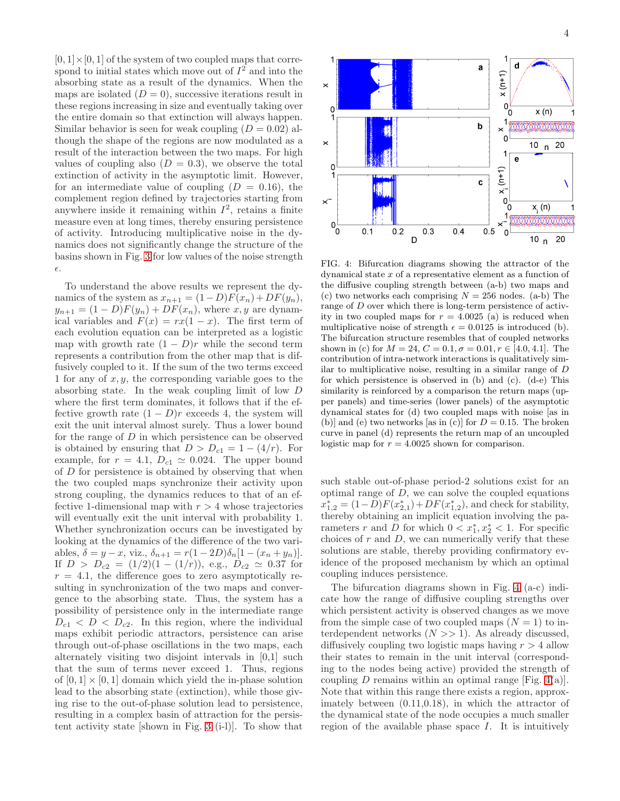$[0, 1] \times [0, 1]$  of the system of two coupled maps that correspond to initial states which move out of  $I^2$  and into the absorbing state as a result of the dynamics. When the maps are isolated  $(D = 0)$ , successive iterations result in these regions increasing in size and eventually taking over the entire domain so that extinction will always happen. Similar behavior is seen for weak coupling  $(D = 0.02)$  although the shape of the regions are now modulated as a result of the interaction between the two maps. For high values of coupling also  $(D = 0.3)$ , we observe the total extinction of activity in the asymptotic limit. However, for an intermediate value of coupling  $(D = 0.16)$ , the complement region defined by trajectories starting from anywhere inside it remaining within  $I^2$ , retains a finite measure even at long times, thereby ensuring persistence of activity. Introducing multiplicative noise in the dynamics does not significantly change the structure of the basins shown in Fig. [3](#page-2-1) for low values of the noise strength ǫ.

To understand the above results we represent the dynamics of the system as  $x_{n+1} = (1-D)F(x_n) + DF(y_n),$  $y_{n+1} = (1 - D)F(y_n) + DF(x_n)$ , where x, y are dynamical variables and  $F(x) = rx(1-x)$ . The first term of each evolution equation can be interpreted as a logistic map with growth rate  $(1 - D)r$  while the second term represents a contribution from the other map that is diffusively coupled to it. If the sum of the two terms exceed 1 for any of  $x, y$ , the corresponding variable goes to the absorbing state. In the weak coupling limit of low D where the first term dominates, it follows that if the effective growth rate  $(1 - D)r$  exceeds 4, the system will exit the unit interval almost surely. Thus a lower bound for the range of D in which persistence can be observed is obtained by ensuring that  $D > D_{c1} = 1 - (4/r)$ . For example, for  $r = 4.1$ ,  $D_{c1} \simeq 0.024$ . The upper bound of  $D$  for persistence is obtained by observing that when the two coupled maps synchronize their activity upon strong coupling, the dynamics reduces to that of an effective 1-dimensional map with  $r > 4$  whose trajectories will eventually exit the unit interval with probability 1. Whether synchronization occurs can be investigated by looking at the dynamics of the difference of the two variables,  $\delta = y - x$ , viz.,  $\delta_{n+1} = r(1 - 2D)\delta_n[1 - (x_n + y_n)].$ If  $D > D_{c2} = (1/2)(1 - (1/r))$ , e.g.,  $D_{c2} \simeq 0.37$  for  $r = 4.1$ , the difference goes to zero asymptotically resulting in synchronization of the two maps and convergence to the absorbing state. Thus, the system has a possibility of persistence only in the intermediate range  $D_{c1} < D < D_{c2}$ . In this region, where the individual maps exhibit periodic attractors, persistence can arise through out-of-phase oscillations in the two maps, each alternately visiting two disjoint intervals in [0,1] such that the sum of terms never exceed 1. Thus, regions of  $[0, 1] \times [0, 1]$  domain which yield the in-phase solution lead to the absorbing state (extinction), while those giving rise to the out-of-phase solution lead to persistence, resulting in a complex basin of attraction for the persistent activity state [shown in Fig. [3](#page-2-1) (i-l)]. To show that



<span id="page-3-0"></span>FIG. 4: Bifurcation diagrams showing the attractor of the dynamical state x of a representative element as a function of the diffusive coupling strength between (a-b) two maps and (c) two networks each comprising  $N = 256$  nodes. (a-b) The range of D over which there is long-term persistence of activity in two coupled maps for  $r = 4.0025$  (a) is reduced when multiplicative noise of strength  $\epsilon = 0.0125$  is introduced (b). The bifurcation structure resembles that of coupled networks shown in (c) for  $M = 24$ ,  $C = 0.1$ ,  $\sigma = 0.01$ ,  $r \in [4.0, 4.1]$ . The contribution of intra-network interactions is qualitatively similar to multiplicative noise, resulting in a similar range of D for which persistence is observed in (b) and (c). (d-e) This similarity is reinforced by a comparison the return maps (upper panels) and time-series (lower panels) of the asymptotic dynamical states for (d) two coupled maps with noise [as in (b)] and (e) two networks [as in (c)] for  $D = 0.15$ . The broken curve in panel (d) represents the return map of an uncoupled logistic map for  $r = 4.0025$  shown for comparison.

such stable out-of-phase period-2 solutions exist for an optimal range of  $D$ , we can solve the coupled equations  $x_{1,2}^* = (1-D)F(x_{2,1}^*) + DF(x_{1,2}^*)$ , and check for stability, thereby obtaining an implicit equation involving the parameters r and D for which  $0 < x_1^*, x_2^* < 1$ . For specific choices of  $r$  and  $D$ , we can numerically verify that these solutions are stable, thereby providing confirmatory evidence of the proposed mechanism by which an optimal coupling induces persistence.

The bifurcation diagrams shown in Fig. [4](#page-3-0) (a-c) indicate how the range of diffusive coupling strengths over which persistent activity is observed changes as we move from the simple case of two coupled maps  $(N = 1)$  to interdependent networks  $(N \gg 1)$ . As already discussed, diffusively coupling two logistic maps having  $r > 4$  allow their states to remain in the unit interval (corresponding to the nodes being active) provided the strength of coupling D remains within an optimal range [Fig. [4\(](#page-3-0)a)]. Note that within this range there exists a region, approximately between (0.11,0.18), in which the attractor of the dynamical state of the node occupies a much smaller region of the available phase space  $I$ . It is intuitively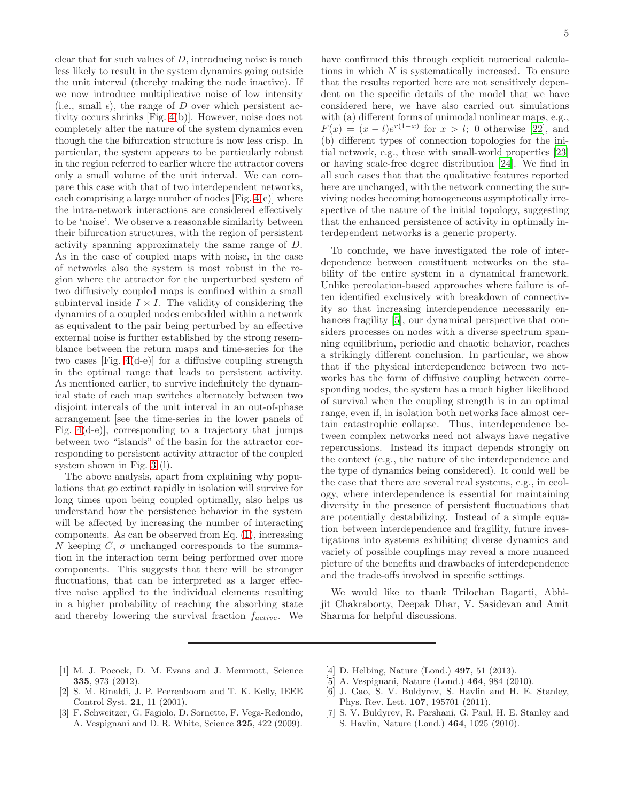clear that for such values of  $D$ , introducing noise is much less likely to result in the system dynamics going outside the unit interval (thereby making the node inactive). If we now introduce multiplicative noise of low intensity (i.e., small  $\epsilon$ ), the range of D over which persistent activity occurs shrinks [Fig. [4\(](#page-3-0)b)]. However, noise does not completely alter the nature of the system dynamics even though the the bifurcation structure is now less crisp. In particular, the system appears to be particularly robust in the region referred to earlier where the attractor covers only a small volume of the unit interval. We can compare this case with that of two interdependent networks, each comprising a large number of nodes  $[Fig. 4(c)]$  $[Fig. 4(c)]$  $[Fig. 4(c)]$  where the intra-network interactions are considered effectively to be 'noise'. We observe a reasonable similarity between their bifurcation structures, with the region of persistent activity spanning approximately the same range of D. As in the case of coupled maps with noise, in the case of networks also the system is most robust in the region where the attractor for the unperturbed system of two diffusively coupled maps is confined within a small subinterval inside  $I \times I$ . The validity of considering the dynamics of a coupled nodes embedded within a network as equivalent to the pair being perturbed by an effective external noise is further established by the strong resemblance between the return maps and time-series for the two cases [Fig. [4\(](#page-3-0)d-e)] for a diffusive coupling strength in the optimal range that leads to persistent activity. As mentioned earlier, to survive indefinitely the dynamical state of each map switches alternately between two disjoint intervals of the unit interval in an out-of-phase arrangement [see the time-series in the lower panels of Fig. [4\(](#page-3-0)d-e)], corresponding to a trajectory that jumps between two "islands" of the basin for the attractor corresponding to persistent activity attractor of the coupled system shown in Fig. [3](#page-2-1) (l).

The above analysis, apart from explaining why populations that go extinct rapidly in isolation will survive for long times upon being coupled optimally, also helps us understand how the persistence behavior in the system will be affected by increasing the number of interacting components. As can be observed from Eq. [\(1\)](#page-0-0), increasing N keeping C,  $\sigma$  unchanged corresponds to the summation in the interaction term being performed over more components. This suggests that there will be stronger fluctuations, that can be interpreted as a larger effective noise applied to the individual elements resulting in a higher probability of reaching the absorbing state and thereby lowering the survival fraction  $f_{active}$ . We

have confirmed this through explicit numerical calculations in which N is systematically increased. To ensure that the results reported here are not sensitively dependent on the specific details of the model that we have considered here, we have also carried out simulations with (a) different forms of unimodal nonlinear maps, e.g.,  $F(x) = (x - l)e^{r(1-x)}$  for  $x > l$ ; 0 otherwise [\[22](#page-5-13)], and (b) different types of connection topologies for the initial network, e.g., those with small-world properties [\[23](#page-5-14)] or having scale-free degree distribution [\[24\]](#page-5-15). We find in all such cases that that the qualitative features reported here are unchanged, with the network connecting the surviving nodes becoming homogeneous asymptotically irrespective of the nature of the initial topology, suggesting that the enhanced persistence of activity in optimally interdependent networks is a generic property.

To conclude, we have investigated the role of interdependence between constituent networks on the stability of the entire system in a dynamical framework. Unlike percolation-based approaches where failure is often identified exclusively with breakdown of connectivity so that increasing interdependence necessarily en-hances fragility [\[5\]](#page-4-4), our dynamical perspective that considers processes on nodes with a diverse spectrum spanning equilibrium, periodic and chaotic behavior, reaches a strikingly different conclusion. In particular, we show that if the physical interdependence between two networks has the form of diffusive coupling between corresponding nodes, the system has a much higher likelihood of survival when the coupling strength is in an optimal range, even if, in isolation both networks face almost certain catastrophic collapse. Thus, interdependence between complex networks need not always have negative repercussions. Instead its impact depends strongly on the context (e.g., the nature of the interdependence and the type of dynamics being considered). It could well be the case that there are several real systems, e.g., in ecology, where interdependence is essential for maintaining diversity in the presence of persistent fluctuations that are potentially destabilizing. Instead of a simple equation between interdependence and fragility, future investigations into systems exhibiting diverse dynamics and variety of possible couplings may reveal a more nuanced picture of the benefits and drawbacks of interdependence and the trade-offs involved in specific settings.

We would like to thank Trilochan Bagarti, Abhijit Chakraborty, Deepak Dhar, V. Sasidevan and Amit Sharma for helpful discussions.

- <span id="page-4-0"></span>[1] M. J. Pocock, D. M. Evans and J. Memmott, Science 335, 973 (2012).
- <span id="page-4-1"></span>[2] S. M. Rinaldi, J. P. Peerenboom and T. K. Kelly, IEEE Control Syst. 21, 11 (2001).
- <span id="page-4-2"></span>[3] F. Schweitzer, G. Fagiolo, D. Sornette, F. Vega-Redondo, A. Vespignani and D. R. White, Science 325, 422 (2009).
- <span id="page-4-3"></span>[4] D. Helbing, Nature (Lond.) 497, 51 (2013).
- <span id="page-4-4"></span>[5] A. Vespignani, Nature (Lond.) 464, 984 (2010).
- <span id="page-4-5"></span>[6] J. Gao, S. V. Buldyrev, S. Havlin and H. E. Stanley, Phys. Rev. Lett. 107, 195701 (2011).
- <span id="page-4-6"></span>[7] S. V. Buldyrev, R. Parshani, G. Paul, H. E. Stanley and S. Havlin, Nature (Lond.) 464, 1025 (2010).